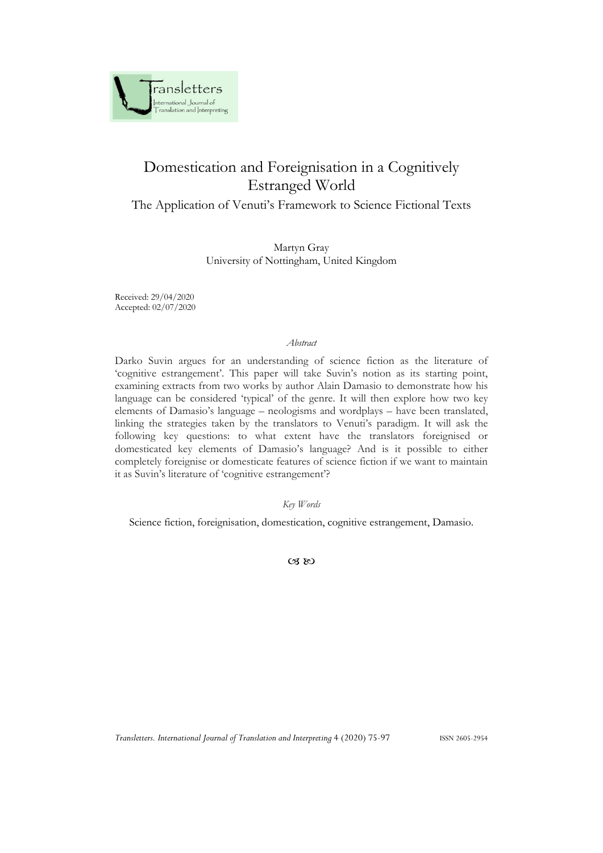

# Domestication and Foreignisation in a Cognitively Estranged World

## The Application of Venuti's Framework to Science Fictional Texts

Martyn Gray University of Nottingham, United Kingdom

Received: 29/04/2020 Accepted: 02/07/2020

#### *Abstract*

Darko Suvin argues for an understanding of science fiction as the literature of 'cognitive estrangement'. This paper will take Suvin's notion as its starting point, examining extracts from two works by author Alain Damasio to demonstrate how his language can be considered 'typical' of the genre. It will then explore how two key elements of Damasio's language – neologisms and wordplays – have been translated, linking the strategies taken by the translators to Venuti's paradigm. It will ask the following key questions: to what extent have the translators foreignised or domesticated key elements of Damasio's language? And is it possible to either completely foreignise or domesticate features of science fiction if we want to maintain it as Suvin's literature of 'cognitive estrangement'?

*Key Words*

Science fiction, foreignisation, domestication, cognitive estrangement, Damasio.

 $CZ$  RO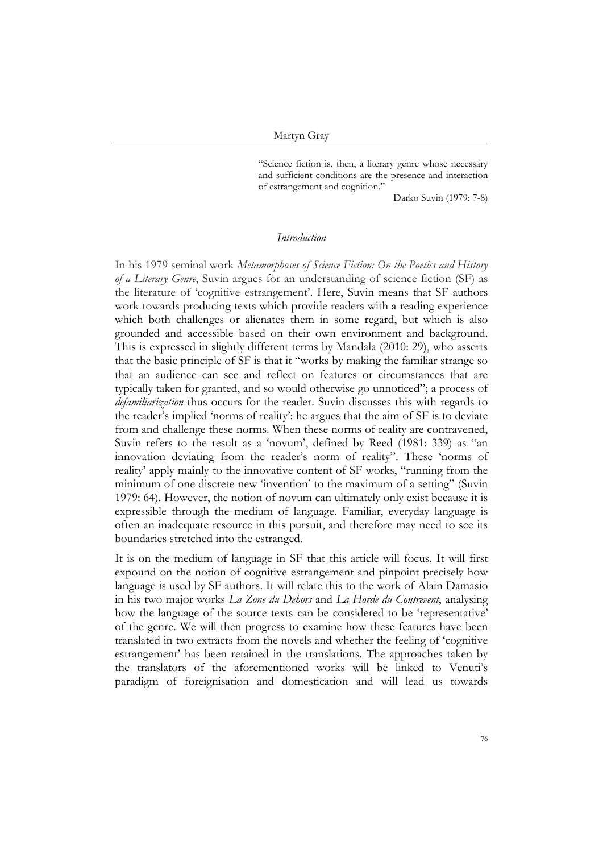"Science fiction is, then, a literary genre whose necessary and sufficient conditions are the presence and interaction of estrangement and cognition."

Darko Suvin (1979: 7-8)

#### *Introduction*

In his 1979 seminal work *Metamorphoses of Science Fiction: On the Poetics and History of a Literary Genre*, Suvin argues for an understanding of science fiction (SF) as the literature of 'cognitive estrangement'. Here, Suvin means that SF authors work towards producing texts which provide readers with a reading experience which both challenges or alienates them in some regard, but which is also grounded and accessible based on their own environment and background. This is expressed in slightly different terms by Mandala (2010: 29), who asserts that the basic principle of SF is that it "works by making the familiar strange so that an audience can see and reflect on features or circumstances that are typically taken for granted, and so would otherwise go unnoticed"; a process of *defamiliarization* thus occurs for the reader. Suvin discusses this with regards to the reader's implied 'norms of reality': he argues that the aim of SF is to deviate from and challenge these norms. When these norms of reality are contravened, Suvin refers to the result as a 'novum', defined by Reed (1981: 339) as "an innovation deviating from the reader's norm of reality". These 'norms of reality' apply mainly to the innovative content of SF works, "running from the minimum of one discrete new 'invention' to the maximum of a setting" (Suvin 1979: 64). However, the notion of novum can ultimately only exist because it is expressible through the medium of language. Familiar, everyday language is often an inadequate resource in this pursuit, and therefore may need to see its boundaries stretched into the estranged.

It is on the medium of language in SF that this article will focus. It will first expound on the notion of cognitive estrangement and pinpoint precisely how language is used by SF authors. It will relate this to the work of Alain Damasio in his two major works *La Zone du Dehors* and *La Horde du Contrevent*, analysing how the language of the source texts can be considered to be 'representative' of the genre. We will then progress to examine how these features have been translated in two extracts from the novels and whether the feeling of 'cognitive estrangement' has been retained in the translations. The approaches taken by the translators of the aforementioned works will be linked to Venuti's paradigm of foreignisation and domestication and will lead us towards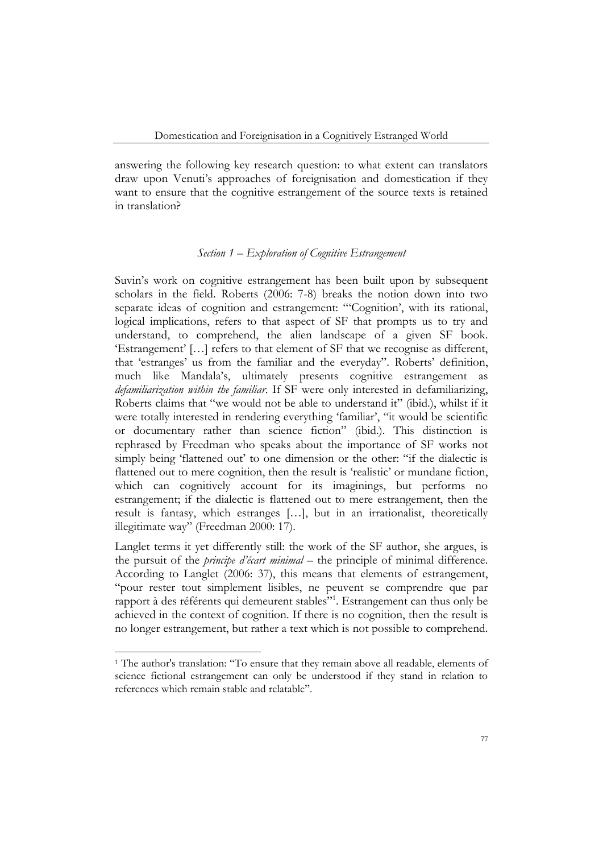answering the following key research question: to what extent can translators draw upon Venuti's approaches of foreignisation and domestication if they want to ensure that the cognitive estrangement of the source texts is retained in translation?

## *Section 1 – Exploration of Cognitive Estrangement*

Suvin's work on cognitive estrangement has been built upon by subsequent scholars in the field. Roberts (2006: 7-8) breaks the notion down into two separate ideas of cognition and estrangement: "'Cognition', with its rational, logical implications, refers to that aspect of SF that prompts us to try and understand, to comprehend, the alien landscape of a given SF book. 'Estrangement' […] refers to that element of SF that we recognise as different, that 'estranges' us from the familiar and the everyday". Roberts' definition, much like Mandala's, ultimately presents cognitive estrangement as *defamiliarization within the familiar*. If SF were only interested in defamiliarizing, Roberts claims that "we would not be able to understand it" (ibid.), whilst if it were totally interested in rendering everything 'familiar', "it would be scientific or documentary rather than science fiction" (ibid.). This distinction is rephrased by Freedman who speaks about the importance of SF works not simply being 'flattened out' to one dimension or the other: "if the dialectic is flattened out to mere cognition, then the result is 'realistic' or mundane fiction, which can cognitively account for its imaginings, but performs no estrangement; if the dialectic is flattened out to mere estrangement, then the result is fantasy, which estranges […], but in an irrationalist, theoretically illegitimate way" (Freedman 2000: 17).

Langlet terms it yet differently still: the work of the SF author, she argues, is the pursuit of the *principe d'écart minimal* – the principle of minimal difference. According to Langlet (2006: 37), this means that elements of estrangement, "pour rester tout simplement lisibles, ne peuvent se comprendre que par rapport à des référents qui demeurent stables"<sup>1</sup> . Estrangement can thus only be achieved in the context of cognition. If there is no cognition, then the result is no longer estrangement, but rather a text which is not possible to comprehend.

<sup>&</sup>lt;sup>1</sup> The author's translation: "To ensure that they remain above all readable, elements of science fictional estrangement can only be understood if they stand in relation to references which remain stable and relatable".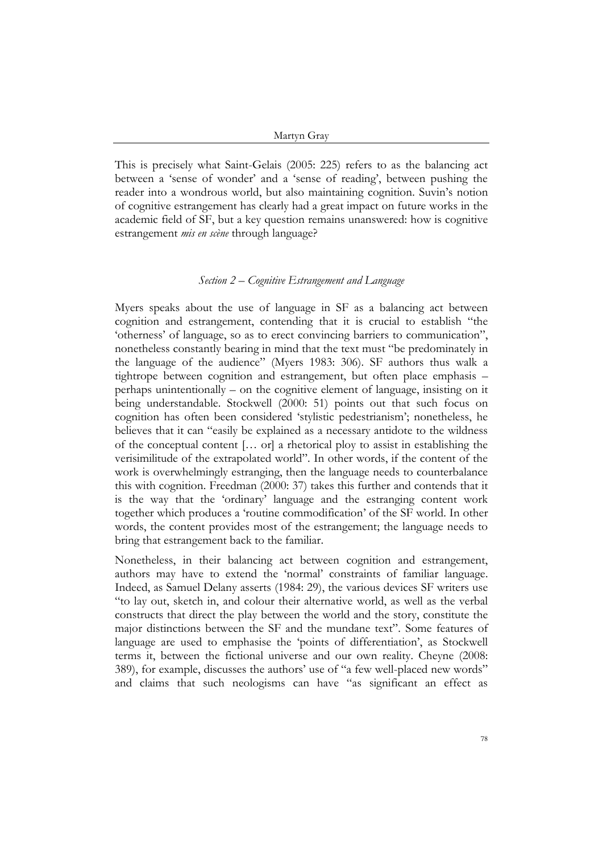This is precisely what Saint-Gelais (2005: 225) refers to as the balancing act between a 'sense of wonder' and a 'sense of reading', between pushing the reader into a wondrous world, but also maintaining cognition. Suvin's notion of cognitive estrangement has clearly had a great impact on future works in the academic field of SF, but a key question remains unanswered: how is cognitive estrangement *mis en scène* through language?

### *Section 2 – Cognitive Estrangement and Language*

Myers speaks about the use of language in SF as a balancing act between cognition and estrangement, contending that it is crucial to establish "the 'otherness' of language, so as to erect convincing barriers to communication", nonetheless constantly bearing in mind that the text must "be predominately in the language of the audience" (Myers 1983: 306). SF authors thus walk a tightrope between cognition and estrangement, but often place emphasis – perhaps unintentionally – on the cognitive element of language, insisting on it being understandable. Stockwell (2000: 51) points out that such focus on cognition has often been considered 'stylistic pedestrianism'; nonetheless, he believes that it can "easily be explained as a necessary antidote to the wildness of the conceptual content [… or] a rhetorical ploy to assist in establishing the verisimilitude of the extrapolated world". In other words, if the content of the work is overwhelmingly estranging, then the language needs to counterbalance this with cognition. Freedman (2000: 37) takes this further and contends that it is the way that the 'ordinary' language and the estranging content work together which produces a 'routine commodification' of the SF world. In other words, the content provides most of the estrangement; the language needs to bring that estrangement back to the familiar.

Nonetheless, in their balancing act between cognition and estrangement, authors may have to extend the 'normal' constraints of familiar language. Indeed, as Samuel Delany asserts (1984: 29), the various devices SF writers use "to lay out, sketch in, and colour their alternative world, as well as the verbal constructs that direct the play between the world and the story, constitute the major distinctions between the SF and the mundane text". Some features of language are used to emphasise the 'points of differentiation', as Stockwell terms it, between the fictional universe and our own reality. Cheyne (2008: 389), for example, discusses the authors' use of "a few well-placed new words" and claims that such neologisms can have "as significant an effect as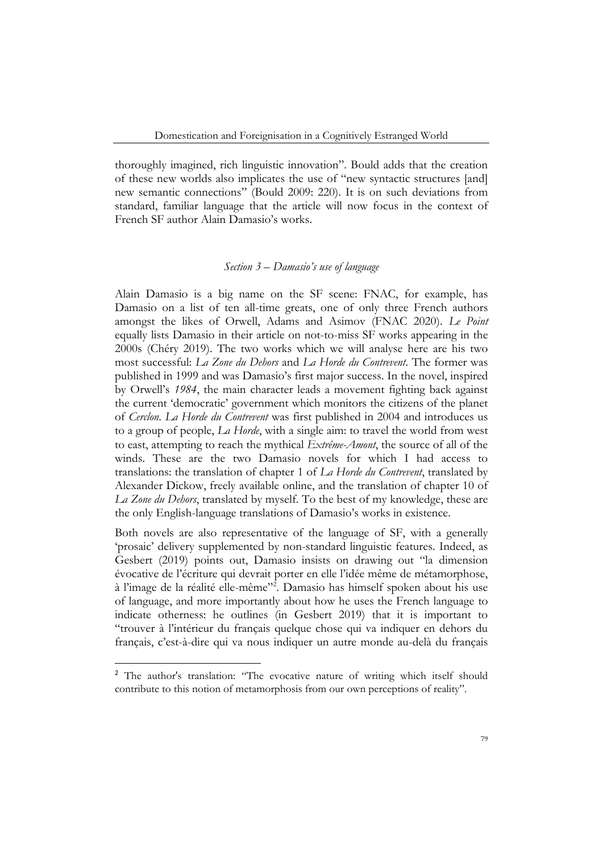thoroughly imagined, rich linguistic innovation". Bould adds that the creation of these new worlds also implicates the use of "new syntactic structures [and] new semantic connections" (Bould 2009: 220). It is on such deviations from standard, familiar language that the article will now focus in the context of French SF author Alain Damasio's works.

#### *Section 3 – Damasio's use of language*

Alain Damasio is a big name on the SF scene: FNAC, for example, has Damasio on a list of ten all-time greats, one of only three French authors amongst the likes of Orwell, Adams and Asimov (FNAC 2020). *Le Point* equally lists Damasio in their article on not-to-miss SF works appearing in the 2000s (Chéry 2019). The two works which we will analyse here are his two most successful: *La Zone du Dehors* and *La Horde du Contrevent*. The former was published in 1999 and was Damasio's first major success. In the novel, inspired by Orwell's *1984*, the main character leads a movement fighting back against the current 'democratic' government which monitors the citizens of the planet of *Cerclon*. *La Horde du Contrevent* was first published in 2004 and introduces us to a group of people, *La Horde*, with a single aim: to travel the world from west to east, attempting to reach the mythical *Extrême-Amont*, the source of all of the winds. These are the two Damasio novels for which I had access to translations: the translation of chapter 1 of *La Horde du Contrevent*, translated by Alexander Dickow, freely available online, and the translation of chapter 10 of *La Zone du Dehors*, translated by myself. To the best of my knowledge, these are the only English-language translations of Damasio's works in existence.

Both novels are also representative of the language of SF, with a generally 'prosaic' delivery supplemented by non-standard linguistic features. Indeed, as Gesbert (2019) points out, Damasio insists on drawing out "la dimension évocative de l'écriture qui devrait porter en elle l'idée même de métamorphose, à l'image de la réalité elle-même"<sup>2</sup> . Damasio has himself spoken about his use of language, and more importantly about how he uses the French language to indicate otherness: he outlines (in Gesbert 2019) that it is important to "trouver à l'intérieur du français quelque chose qui va indiquer en dehors du français, c'est-à-dire qui va nous indiquer un autre monde au-delà du français

<sup>&</sup>lt;sup>2</sup> The author's translation: "The evocative nature of writing which itself should contribute to this notion of metamorphosis from our own perceptions of reality".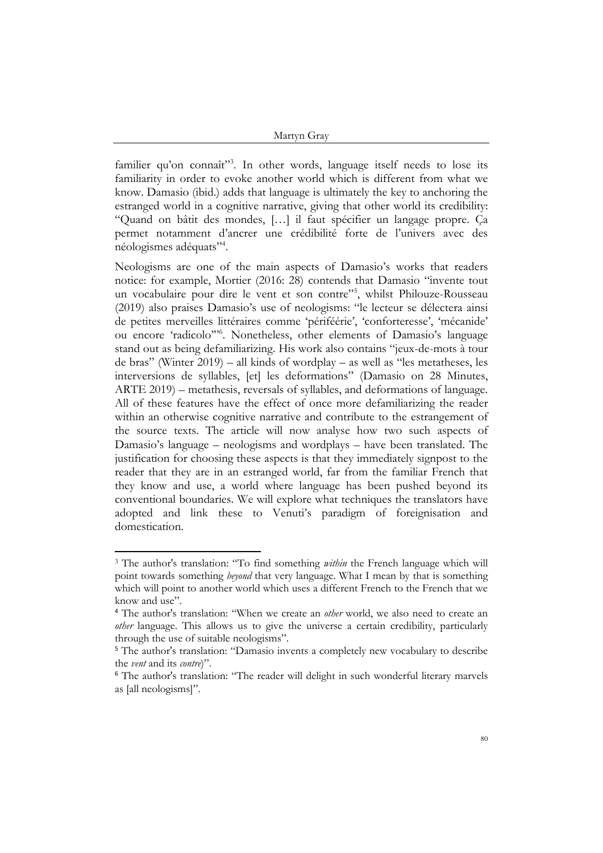familier qu'on connaît"<sup>3</sup>. In other words, language itself needs to lose its familiarity in order to evoke another world which is different from what we know. Damasio (ibid.) adds that language is ultimately the key to anchoring the estranged world in a cognitive narrative, giving that other world its credibility: "Quand on bâtit des mondes, […] il faut spécifier un langage propre. Ça permet notamment d'ancrer une crédibilité forte de l'univers avec des néologismes adéquats"<sup>4</sup> .

Neologisms are one of the main aspects of Damasio's works that readers notice: for example, Mortier (2016: 28) contends that Damasio "invente tout un vocabulaire pour dire le vent et son contre"<sup>5</sup> , whilst Philouze-Rousseau (2019) also praises Damasio's use of neologisms: "le lecteur se délectera ainsi de petites merveilles littéraires comme 'périféérie', 'conforteresse', 'mécanide' ou encore 'radicolo'"<sup>6</sup> . Nonetheless, other elements of Damasio's language stand out as being defamiliarizing. His work also contains "jeux-de-mots à tour de bras" (Winter 2019) – all kinds of wordplay – as well as "les metatheses, les interversions de syllables, [et] les deformations" (Damasio on 28 Minutes, ARTE 2019) – metathesis, reversals of syllables, and deformations of language. All of these features have the effect of once more defamiliarizing the reader within an otherwise cognitive narrative and contribute to the estrangement of the source texts. The article will now analyse how two such aspects of Damasio's language – neologisms and wordplays – have been translated. The justification for choosing these aspects is that they immediately signpost to the reader that they are in an estranged world, far from the familiar French that they know and use, a world where language has been pushed beyond its conventional boundaries. We will explore what techniques the translators have adopted and link these to Venuti's paradigm of foreignisation and domestication.

<sup>3</sup> The author's translation: "To find something *within* the French language which will point towards something *beyond* that very language. What I mean by that is something which will point to another world which uses a different French to the French that we know and use".

<sup>4</sup> The author's translation: "When we create an *other* world, we also need to create an *other* language. This allows us to give the universe a certain credibility, particularly through the use of suitable neologisms".

<sup>5</sup> The author's translation: "Damasio invents a completely new vocabulary to describe the *vent* and its *contre*)".

<sup>6</sup> The author's translation: "The reader will delight in such wonderful literary marvels as [all neologisms]".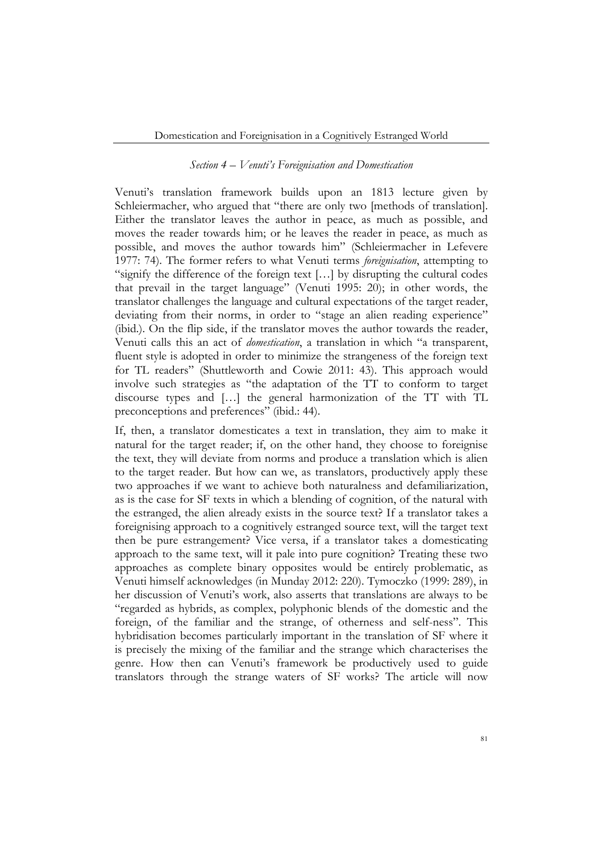#### *Section 4 – Venuti's Foreignisation and Domestication*

Venuti's translation framework builds upon an 1813 lecture given by Schleiermacher, who argued that "there are only two [methods of translation]. Either the translator leaves the author in peace, as much as possible, and moves the reader towards him; or he leaves the reader in peace, as much as possible, and moves the author towards him" (Schleiermacher in Lefevere 1977: 74). The former refers to what Venuti terms *foreignisation*, attempting to "signify the difference of the foreign text […] by disrupting the cultural codes that prevail in the target language" (Venuti 1995: 20); in other words, the translator challenges the language and cultural expectations of the target reader, deviating from their norms, in order to "stage an alien reading experience" (ibid.). On the flip side, if the translator moves the author towards the reader, Venuti calls this an act of *domestication*, a translation in which "a transparent, fluent style is adopted in order to minimize the strangeness of the foreign text for TL readers" (Shuttleworth and Cowie 2011: 43). This approach would involve such strategies as "the adaptation of the TT to conform to target discourse types and […] the general harmonization of the TT with TL preconceptions and preferences" (ibid.: 44).

If, then, a translator domesticates a text in translation, they aim to make it natural for the target reader; if, on the other hand, they choose to foreignise the text, they will deviate from norms and produce a translation which is alien to the target reader. But how can we, as translators, productively apply these two approaches if we want to achieve both naturalness and defamiliarization, as is the case for SF texts in which a blending of cognition, of the natural with the estranged, the alien already exists in the source text? If a translator takes a foreignising approach to a cognitively estranged source text, will the target text then be pure estrangement? Vice versa, if a translator takes a domesticating approach to the same text, will it pale into pure cognition? Treating these two approaches as complete binary opposites would be entirely problematic, as Venuti himself acknowledges (in Munday 2012: 220). Tymoczko (1999: 289), in her discussion of Venuti's work, also asserts that translations are always to be "regarded as hybrids, as complex, polyphonic blends of the domestic and the foreign, of the familiar and the strange, of otherness and self-ness". This hybridisation becomes particularly important in the translation of SF where it is precisely the mixing of the familiar and the strange which characterises the genre. How then can Venuti's framework be productively used to guide translators through the strange waters of SF works? The article will now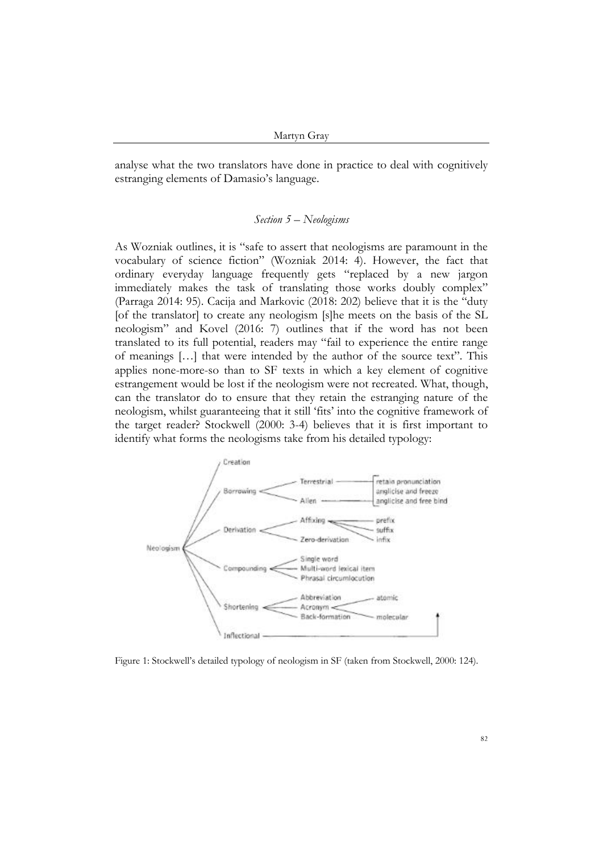analyse what the two translators have done in practice to deal with cognitively estranging elements of Damasio's language.

### *Section 5 – Neologisms*

As Wozniak outlines, it is "safe to assert that neologisms are paramount in the vocabulary of science fiction" (Wozniak 2014: 4). However, the fact that ordinary everyday language frequently gets "replaced by a new jargon immediately makes the task of translating those works doubly complex" (Parraga 2014: 95). Cacija and Markovic (2018: 202) believe that it is the "duty [of the translator] to create any neologism [s]he meets on the basis of the SL neologism" and Kovel (2016: 7) outlines that if the word has not been translated to its full potential, readers may "fail to experience the entire range of meanings […] that were intended by the author of the source text". This applies none-more-so than to SF texts in which a key element of cognitive estrangement would be lost if the neologism were not recreated. What, though, can the translator do to ensure that they retain the estranging nature of the neologism, whilst guaranteeing that it still 'fits' into the cognitive framework of the target reader? Stockwell (2000: 3-4) believes that it is first important to identify what forms the neologisms take from his detailed typology:



Figure 1: Stockwell's detailed typology of neologism in SF (taken from Stockwell, 2000: 124).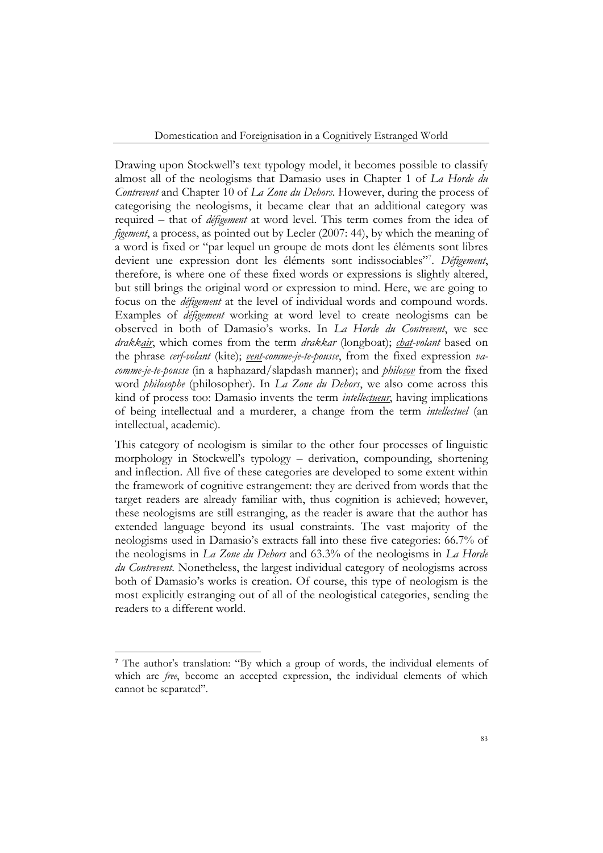Domestication and Foreignisation in a Cognitively Estranged World

Drawing upon Stockwell's text typology model, it becomes possible to classify almost all of the neologisms that Damasio uses in Chapter 1 of *La Horde du Contrevent* and Chapter 10 of *La Zone du Dehors*. However, during the process of categorising the neologisms, it became clear that an additional category was required – that of *défigement* at word level. This term comes from the idea of *figement*, a process, as pointed out by Lecler (2007: 44), by which the meaning of a word is fixed or "par lequel un groupe de mots dont les éléments sont libres devient une expression dont les éléments sont indissociables"<sup>7</sup> . *Défigement*, therefore, is where one of these fixed words or expressions is slightly altered, but still brings the original word or expression to mind. Here, we are going to focus on the *défigement* at the level of individual words and compound words. Examples of *défigement* working at word level to create neologisms can be observed in both of Damasio's works. In *La Horde du Contrevent*, we see *drakkair*, which comes from the term *drakkar* (longboat); *chat-volant* based on the phrase *cerf-volant* (kite); *vent-comme-je-te-pousse*, from the fixed expression *vacomme-je-te-pousse* (in a haphazard/slapdash manner); and *philosov* from the fixed word *philosophe* (philosopher). In *La Zone du Dehors*, we also come across this kind of process too: Damasio invents the term *intellectueur*, having implications of being intellectual and a murderer, a change from the term *intellectuel* (an intellectual, academic).

This category of neologism is similar to the other four processes of linguistic morphology in Stockwell's typology – derivation, compounding, shortening and inflection. All five of these categories are developed to some extent within the framework of cognitive estrangement: they are derived from words that the target readers are already familiar with, thus cognition is achieved; however, these neologisms are still estranging, as the reader is aware that the author has extended language beyond its usual constraints. The vast majority of the neologisms used in Damasio's extracts fall into these five categories: 66.7% of the neologisms in *La Zone du Dehors* and 63.3% of the neologisms in *La Horde du Contrevent*. Nonetheless, the largest individual category of neologisms across both of Damasio's works is creation. Of course, this type of neologism is the most explicitly estranging out of all of the neologistical categories, sending the readers to a different world.

<sup>7</sup> The author's translation: "By which a group of words, the individual elements of which are *free*, become an accepted expression, the individual elements of which cannot be separated".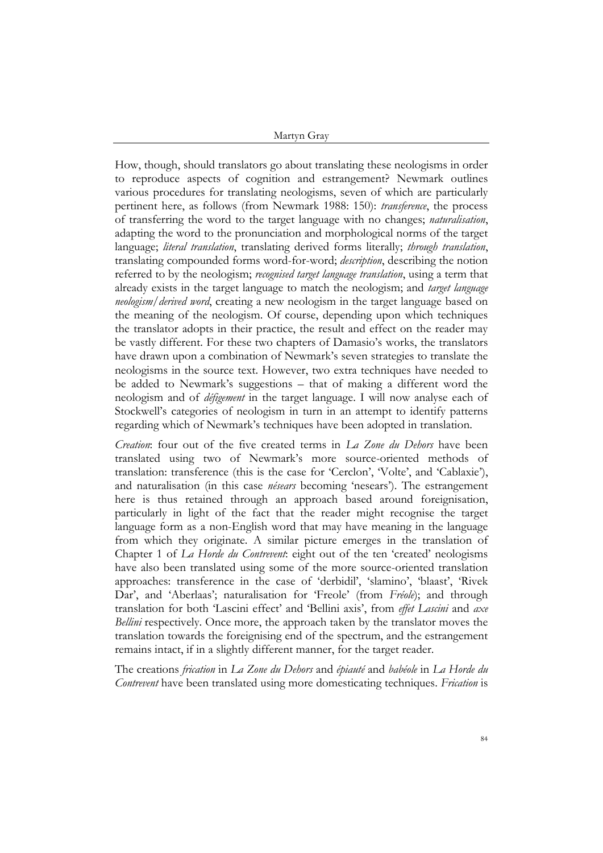How, though, should translators go about translating these neologisms in order to reproduce aspects of cognition and estrangement? Newmark outlines various procedures for translating neologisms, seven of which are particularly pertinent here, as follows (from Newmark 1988: 150): *transference*, the process of transferring the word to the target language with no changes; *naturalisation*, adapting the word to the pronunciation and morphological norms of the target language; *literal translation*, translating derived forms literally; *through translation*, translating compounded forms word-for-word; *description*, describing the notion referred to by the neologism; *recognised target language translation*, using a term that already exists in the target language to match the neologism; and *target language neologism/derived word*, creating a new neologism in the target language based on the meaning of the neologism. Of course, depending upon which techniques the translator adopts in their practice, the result and effect on the reader may be vastly different. For these two chapters of Damasio's works, the translators have drawn upon a combination of Newmark's seven strategies to translate the neologisms in the source text. However, two extra techniques have needed to be added to Newmark's suggestions – that of making a different word the neologism and of *défigement* in the target language. I will now analyse each of Stockwell's categories of neologism in turn in an attempt to identify patterns regarding which of Newmark's techniques have been adopted in translation.

*Creation*: four out of the five created terms in *La Zone du Dehors* have been translated using two of Newmark's more source-oriented methods of translation: transference (this is the case for 'Cerclon', 'Volte', and 'Cablaxie'), and naturalisation (in this case *nésears* becoming 'nesears'). The estrangement here is thus retained through an approach based around foreignisation, particularly in light of the fact that the reader might recognise the target language form as a non-English word that may have meaning in the language from which they originate. A similar picture emerges in the translation of Chapter 1 of *La Horde du Contrevent*: eight out of the ten 'created' neologisms have also been translated using some of the more source-oriented translation approaches: transference in the case of 'derbidil', 'slamino', 'blaast', 'Rivek Dar', and 'Aberlaas'; naturalisation for 'Freole' (from Fréole); and through translation for both 'Lascini effect' and 'Bellini axis', from *effet Lascini* and *axe Bellini* respectively. Once more, the approach taken by the translator moves the translation towards the foreignising end of the spectrum, and the estrangement remains intact, if in a slightly different manner, for the target reader.

The creations *frication* in *La Zone du Dehors* and *épiauté* and *babéole* in *La Horde du Contrevent* have been translated using more domesticating techniques. *Frication* is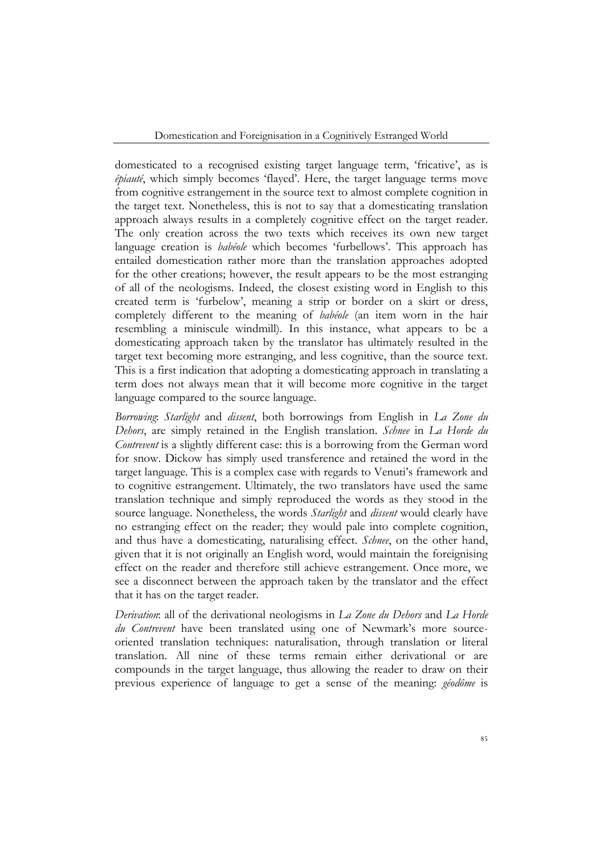Domestication and Foreignisation in a Cognitively Estranged World

domesticated to a recognised existing target language term, 'fricative', as is *épiauté*, which simply becomes 'flayed'. Here, the target language terms move from cognitive estrangement in the source text to almost complete cognition in the target text. Nonetheless, this is not to say that a domesticating translation approach always results in a completely cognitive effect on the target reader. The only creation across the two texts which receives its own new target language creation is *babéole* which becomes 'furbellows'. This approach has entailed domestication rather more than the translation approaches adopted for the other creations; however, the result appears to be the most estranging of all of the neologisms. Indeed, the closest existing word in English to this created term is 'furbelow', meaning a strip or border on a skirt or dress, completely different to the meaning of *babéole* (an item worn in the hair resembling a miniscule windmill). In this instance, what appears to be a domesticating approach taken by the translator has ultimately resulted in the target text becoming more estranging, and less cognitive, than the source text. This is a first indication that adopting a domesticating approach in translating a term does not always mean that it will become more cognitive in the target language compared to the source language.

*Borrowing*: *Starlight* and *dissent*, both borrowings from English in *La Zone du Dehors*, are simply retained in the English translation. *Schnee* in *La Horde du Contrevent* is a slightly different case: this is a borrowing from the German word for snow. Dickow has simply used transference and retained the word in the target language. This is a complex case with regards to Venuti's framework and to cognitive estrangement. Ultimately, the two translators have used the same translation technique and simply reproduced the words as they stood in the source language. Nonetheless, the words *Starlight* and *dissent* would clearly have no estranging effect on the reader; they would pale into complete cognition, and thus have a domesticating, naturalising effect. *Schnee*, on the other hand, given that it is not originally an English word, would maintain the foreignising effect on the reader and therefore still achieve estrangement. Once more, we see a disconnect between the approach taken by the translator and the effect that it has on the target reader.

*Derivation*: all of the derivational neologisms in *La Zone du Dehors* and *La Horde du Contrevent* have been translated using one of Newmark's more sourceoriented translation techniques: naturalisation, through translation or literal translation. All nine of these terms remain either derivational or are compounds in the target language, thus allowing the reader to draw on their previous experience of language to get a sense of the meaning: *géodôme* is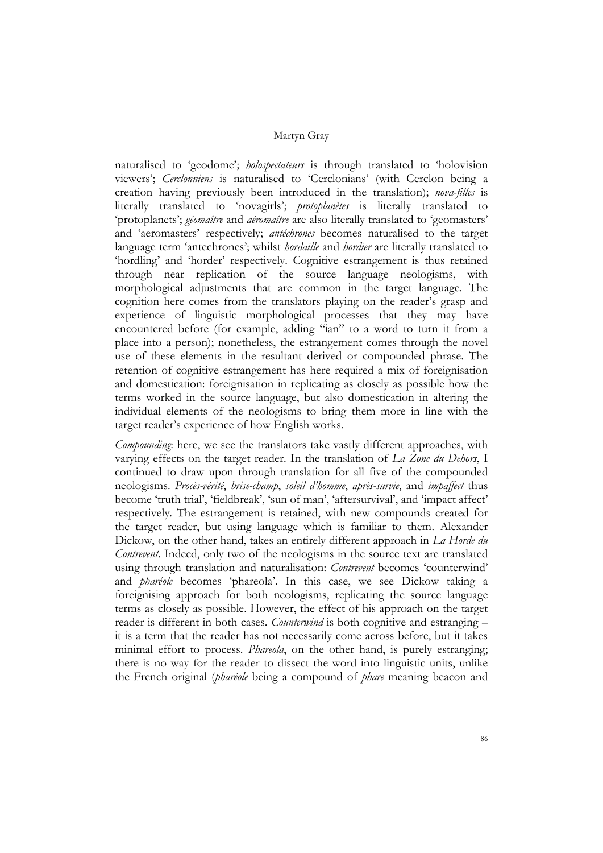naturalised to 'geodome'; *holospectateurs* is through translated to 'holovision viewers'; *Cerclonniens* is naturalised to 'Cerclonians' (with Cerclon being a creation having previously been introduced in the translation); *nova-filles* is literally translated to 'novagirls'; *protoplanètes* is literally translated to 'protoplanets'; *géomaître* and *aéromaître* are also literally translated to 'geomasters' and 'aeromasters' respectively; *antéchrones* becomes naturalised to the target language term 'antechrones'; whilst *hordaille* and *hordier* are literally translated to 'hordling' and 'horder' respectively. Cognitive estrangement is thus retained through near replication of the source language neologisms, with morphological adjustments that are common in the target language. The cognition here comes from the translators playing on the reader's grasp and experience of linguistic morphological processes that they may have encountered before (for example, adding "ian" to a word to turn it from a place into a person); nonetheless, the estrangement comes through the novel use of these elements in the resultant derived or compounded phrase. The retention of cognitive estrangement has here required a mix of foreignisation and domestication: foreignisation in replicating as closely as possible how the terms worked in the source language, but also domestication in altering the individual elements of the neologisms to bring them more in line with the target reader's experience of how English works.

*Compounding*: here, we see the translators take vastly different approaches, with varying effects on the target reader. In the translation of *La Zone du Dehors*, I continued to draw upon through translation for all five of the compounded neologisms. *Procès-vérité*, *brise-champ*, *soleil d'homme*, *après-survie*, and *impaffect* thus become 'truth trial', 'fieldbreak', 'sun of man', 'aftersurvival', and 'impact affect' respectively. The estrangement is retained, with new compounds created for the target reader, but using language which is familiar to them. Alexander Dickow, on the other hand, takes an entirely different approach in *La Horde du Contrevent*. Indeed, only two of the neologisms in the source text are translated using through translation and naturalisation: *Contrevent* becomes 'counterwind' and *pharéole* becomes 'phareola'. In this case, we see Dickow taking a foreignising approach for both neologisms, replicating the source language terms as closely as possible. However, the effect of his approach on the target reader is different in both cases. *Counterwind* is both cognitive and estranging – it is a term that the reader has not necessarily come across before, but it takes minimal effort to process. *Phareola*, on the other hand, is purely estranging; there is no way for the reader to dissect the word into linguistic units, unlike the French original (*pharéole* being a compound of *phare* meaning beacon and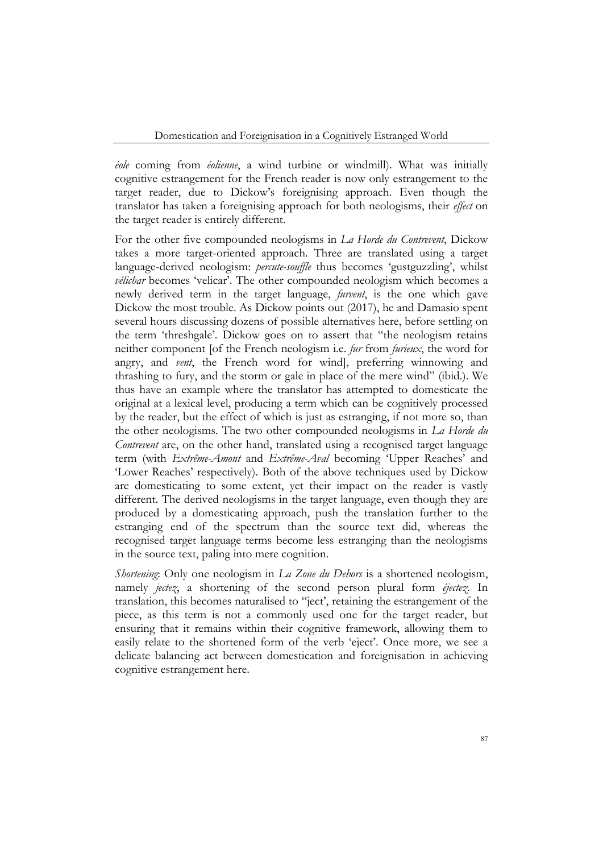*éole* coming from *éolienne*, a wind turbine or windmill). What was initially cognitive estrangement for the French reader is now only estrangement to the target reader, due to Dickow's foreignising approach. Even though the translator has taken a foreignising approach for both neologisms, their *effect* on the target reader is entirely different.

For the other five compounded neologisms in *La Horde du Contrevent*, Dickow takes a more target-oriented approach. Three are translated using a target language-derived neologism: *percute-souffle* thus becomes 'gustguzzling', whilst *vélichar* becomes 'velicar'. The other compounded neologism which becomes a newly derived term in the target language, *furvent*, is the one which gave Dickow the most trouble. As Dickow points out (2017), he and Damasio spent several hours discussing dozens of possible alternatives here, before settling on the term 'threshgale'. Dickow goes on to assert that "the neologism retains neither component [of the French neologism i.e. *fur* from *furieux*, the word for angry, and *vent*, the French word for wind], preferring winnowing and thrashing to fury, and the storm or gale in place of the mere wind" (ibid.). We thus have an example where the translator has attempted to domesticate the original at a lexical level, producing a term which can be cognitively processed by the reader, but the effect of which is just as estranging, if not more so, than the other neologisms. The two other compounded neologisms in *La Horde du Contrevent* are, on the other hand, translated using a recognised target language term (with *Extrême-Amont* and *Extrême-Aval* becoming 'Upper Reaches' and 'Lower Reaches' respectively). Both of the above techniques used by Dickow are domesticating to some extent, yet their impact on the reader is vastly different. The derived neologisms in the target language, even though they are produced by a domesticating approach, push the translation further to the estranging end of the spectrum than the source text did, whereas the recognised target language terms become less estranging than the neologisms in the source text, paling into mere cognition.

*Shortening*: Only one neologism in *La Zone du Dehors* is a shortened neologism, namely *jectez*, a shortening of the second person plural form *éjectez*. In translation, this becomes naturalised to ''ject', retaining the estrangement of the piece, as this term is not a commonly used one for the target reader, but ensuring that it remains within their cognitive framework, allowing them to easily relate to the shortened form of the verb 'eject'. Once more, we see a delicate balancing act between domestication and foreignisation in achieving cognitive estrangement here.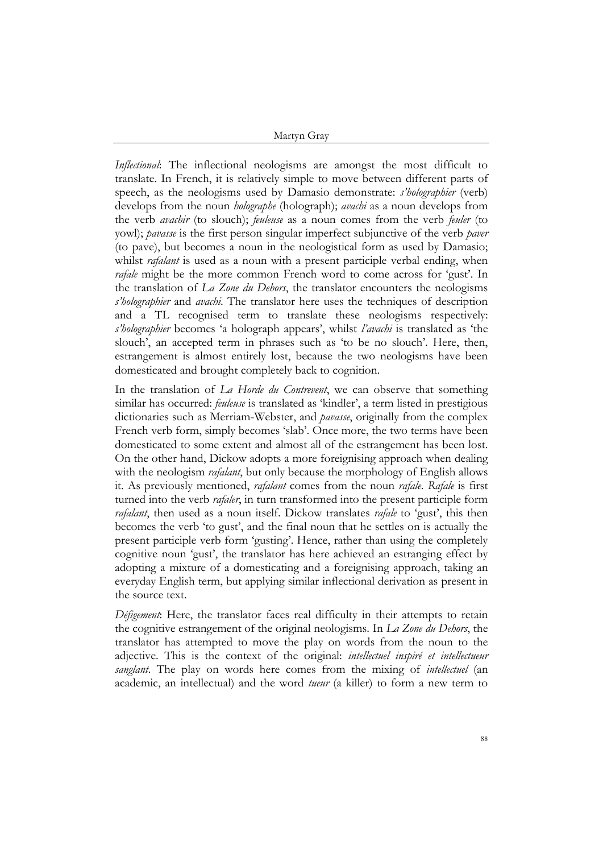*Inflectional*: The inflectional neologisms are amongst the most difficult to translate. In French, it is relatively simple to move between different parts of speech, as the neologisms used by Damasio demonstrate: *s'holographier* (verb) develops from the noun *holographe* (holograph); *avachi* as a noun develops from the verb *avachir* (to slouch); *feuleuse* as a noun comes from the verb *feuler* (to yowl); *pavasse* is the first person singular imperfect subjunctive of the verb *paver* (to pave), but becomes a noun in the neologistical form as used by Damasio; whilst *rafalant* is used as a noun with a present participle verbal ending, when *rafale* might be the more common French word to come across for 'gust'. In the translation of *La Zone du Dehors*, the translator encounters the neologisms *s'holographier* and *avachi*. The translator here uses the techniques of description and a TL recognised term to translate these neologisms respectively: *s'holographier* becomes 'a holograph appears', whilst *l'avachi* is translated as 'the slouch', an accepted term in phrases such as 'to be no slouch'. Here, then, estrangement is almost entirely lost, because the two neologisms have been domesticated and brought completely back to cognition.

In the translation of *La Horde du Contrevent*, we can observe that something similar has occurred: *feuleuse* is translated as 'kindler', a term listed in prestigious dictionaries such as Merriam-Webster, and *pavasse*, originally from the complex French verb form, simply becomes 'slab'. Once more, the two terms have been domesticated to some extent and almost all of the estrangement has been lost. On the other hand, Dickow adopts a more foreignising approach when dealing with the neologism *rafalant*, but only because the morphology of English allows it. As previously mentioned, *rafalant* comes from the noun *rafale*. *Rafale* is first turned into the verb *rafaler*, in turn transformed into the present participle form *rafalant*, then used as a noun itself. Dickow translates *rafale* to 'gust', this then becomes the verb 'to gust', and the final noun that he settles on is actually the present participle verb form 'gusting'. Hence, rather than using the completely cognitive noun 'gust', the translator has here achieved an estranging effect by adopting a mixture of a domesticating and a foreignising approach, taking an everyday English term, but applying similar inflectional derivation as present in the source text.

*Défigement*: Here, the translator faces real difficulty in their attempts to retain the cognitive estrangement of the original neologisms. In *La Zone du Dehors*, the translator has attempted to move the play on words from the noun to the adjective. This is the context of the original: *intellectuel inspiré et intellectueur sanglant*. The play on words here comes from the mixing of *intellectuel* (an academic, an intellectual) and the word *tueur* (a killer) to form a new term to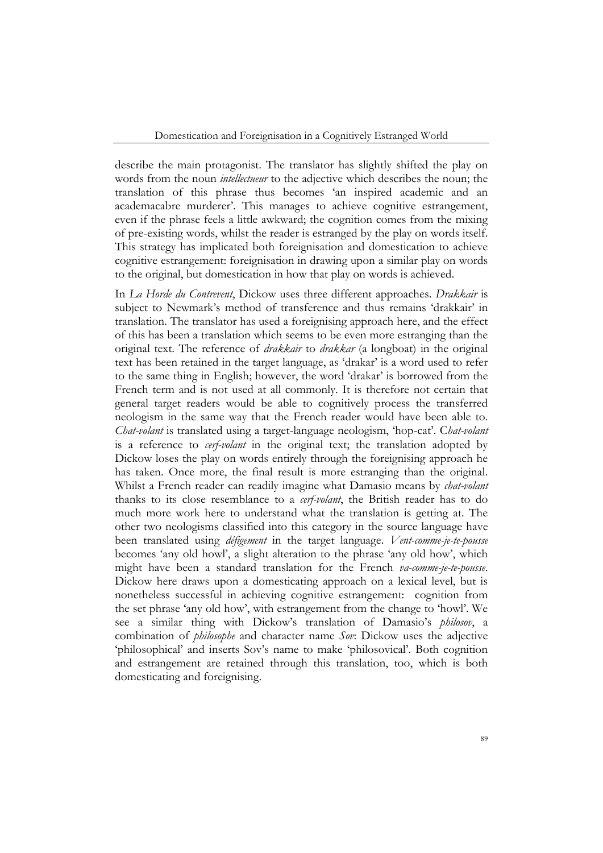describe the main protagonist. The translator has slightly shifted the play on words from the noun *intellectueur* to the adjective which describes the noun; the translation of this phrase thus becomes 'an inspired academic and an academacabre murderer'. This manages to achieve cognitive estrangement, even if the phrase feels a little awkward; the cognition comes from the mixing of pre-existing words, whilst the reader is estranged by the play on words itself. This strategy has implicated both foreignisation and domestication to achieve cognitive estrangement: foreignisation in drawing upon a similar play on words to the original, but domestication in how that play on words is achieved.

In *La Horde du Contrevent*, Dickow uses three different approaches. *Drakkair* is subject to Newmark's method of transference and thus remains 'drakkair' in translation. The translator has used a foreignising approach here, and the effect of this has been a translation which seems to be even more estranging than the original text. The reference of *drakkair* to *drakkar* (a longboat) in the original text has been retained in the target language, as 'drakar' is a word used to refer to the same thing in English; however, the word 'drakar' is borrowed from the French term and is not used at all commonly. It is therefore not certain that general target readers would be able to cognitively process the transferred neologism in the same way that the French reader would have been able to. *Chat-volant* is translated using a target-language neologism, 'hop-cat'. C*hat-volant* is a reference to *cerf-volant* in the original text; the translation adopted by Dickow loses the play on words entirely through the foreignising approach he has taken. Once more, the final result is more estranging than the original. Whilst a French reader can readily imagine what Damasio means by *chat-volant* thanks to its close resemblance to a *cerf-volant*, the British reader has to do much more work here to understand what the translation is getting at. The other two neologisms classified into this category in the source language have been translated using *défigement* in the target language. *Vent-comme-je-te-pousse* becomes 'any old howl', a slight alteration to the phrase 'any old how', which might have been a standard translation for the French *va-comme-je-te-pousse*. Dickow here draws upon a domesticating approach on a lexical level, but is nonetheless successful in achieving cognitive estrangement: cognition from the set phrase 'any old how', with estrangement from the change to 'howl'. We see a similar thing with Dickow's translation of Damasio's *philosov*, a combination of *philosophe* and character name *Sov*: Dickow uses the adjective 'philosophical' and inserts Sov's name to make 'philosovical'. Both cognition and estrangement are retained through this translation, too, which is both domesticating and foreignising.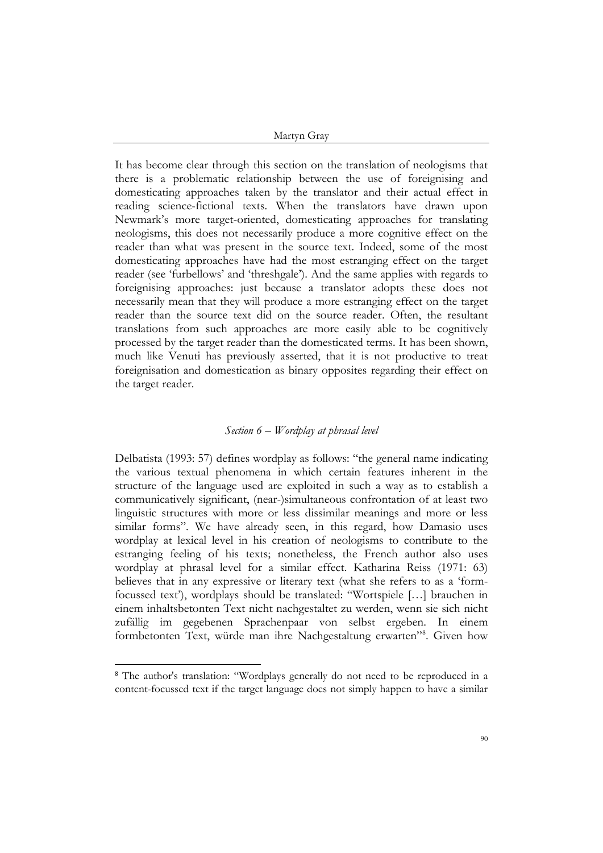It has become clear through this section on the translation of neologisms that there is a problematic relationship between the use of foreignising and domesticating approaches taken by the translator and their actual effect in reading science-fictional texts. When the translators have drawn upon Newmark's more target-oriented, domesticating approaches for translating neologisms, this does not necessarily produce a more cognitive effect on the reader than what was present in the source text. Indeed, some of the most domesticating approaches have had the most estranging effect on the target reader (see 'furbellows' and 'threshgale'). And the same applies with regards to foreignising approaches: just because a translator adopts these does not necessarily mean that they will produce a more estranging effect on the target reader than the source text did on the source reader. Often, the resultant translations from such approaches are more easily able to be cognitively processed by the target reader than the domesticated terms. It has been shown, much like Venuti has previously asserted, that it is not productive to treat foreignisation and domestication as binary opposites regarding their effect on the target reader.

## *Section 6 – Wordplay at phrasal level*

Delbatista (1993: 57) defines wordplay as follows: "the general name indicating the various textual phenomena in which certain features inherent in the structure of the language used are exploited in such a way as to establish a communicatively significant, (near-)simultaneous confrontation of at least two linguistic structures with more or less dissimilar meanings and more or less similar forms". We have already seen, in this regard, how Damasio uses wordplay at lexical level in his creation of neologisms to contribute to the estranging feeling of his texts; nonetheless, the French author also uses wordplay at phrasal level for a similar effect. Katharina Reiss (1971: 63) believes that in any expressive or literary text (what she refers to as a 'formfocussed text'), wordplays should be translated: "Wortspiele […] brauchen in einem inhaltsbetonten Text nicht nachgestaltet zu werden, wenn sie sich nicht zufällig im gegebenen Sprachenpaar von selbst ergeben. In einem formbetonten Text, würde man ihre Nachgestaltung erwarten"<sup>8</sup> . Given how

<sup>8</sup> The author's translation: "Wordplays generally do not need to be reproduced in a content-focussed text if the target language does not simply happen to have a similar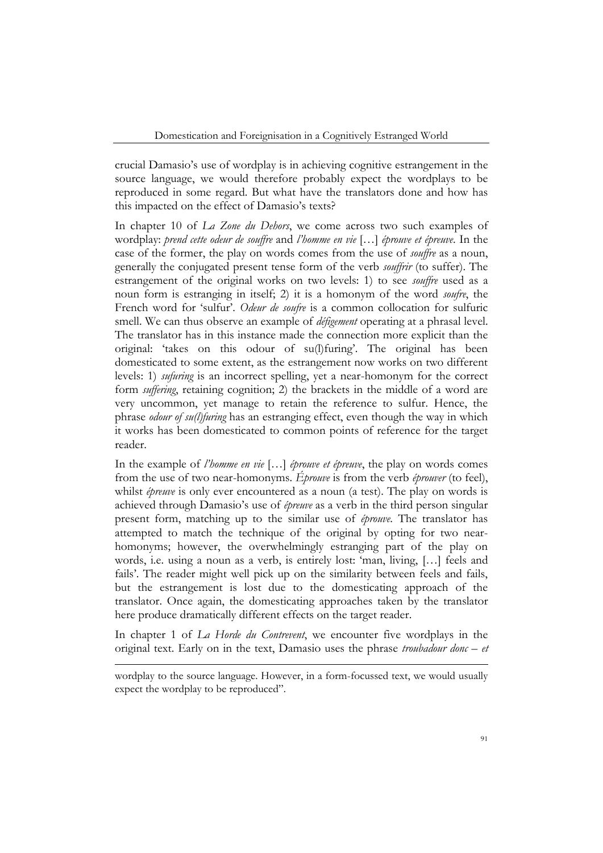crucial Damasio's use of wordplay is in achieving cognitive estrangement in the source language, we would therefore probably expect the wordplays to be reproduced in some regard. But what have the translators done and how has this impacted on the effect of Damasio's texts?

In chapter 10 of *La Zone du Dehors*, we come across two such examples of wordplay: *prend cette odeur de souffre* and *l'homme en vie* […] *éprouve et épreuve*. In the case of the former, the play on words comes from the use of *souffre* as a noun, generally the conjugated present tense form of the verb *souffrir* (to suffer). The estrangement of the original works on two levels: 1) to see *souffre* used as a noun form is estranging in itself; 2) it is a homonym of the word *soufre*, the French word for 'sulfur'. *Odeur de soufre* is a common collocation for sulfuric smell. We can thus observe an example of *défigement* operating at a phrasal level. The translator has in this instance made the connection more explicit than the original: 'takes on this odour of su(l)furing'. The original has been domesticated to some extent, as the estrangement now works on two different levels: 1) *sufuring* is an incorrect spelling, yet a near-homonym for the correct form *suffering*, retaining cognition; 2) the brackets in the middle of a word are very uncommon, yet manage to retain the reference to sulfur. Hence, the phrase *odour of su(l)furing* has an estranging effect, even though the way in which it works has been domesticated to common points of reference for the target reader.

In the example of *l'homme en vie* […] *éprouve et épreuve*, the play on words comes from the use of two near-homonyms. *Éprouve* is from the verb *éprouver* (to feel), whilst *épreuve* is only ever encountered as a noun (a test). The play on words is achieved through Damasio's use of *épreuve* as a verb in the third person singular present form, matching up to the similar use of *éprouve*. The translator has attempted to match the technique of the original by opting for two nearhomonyms; however, the overwhelmingly estranging part of the play on words, i.e. using a noun as a verb, is entirely lost: 'man, living, […] feels and fails'. The reader might well pick up on the similarity between feels and fails, but the estrangement is lost due to the domesticating approach of the translator. Once again, the domesticating approaches taken by the translator here produce dramatically different effects on the target reader.

In chapter 1 of *La Horde du Contrevent*, we encounter five wordplays in the original text. Early on in the text, Damasio uses the phrase *troubadour donc – et* 

wordplay to the source language. However, in a form-focussed text, we would usually expect the wordplay to be reproduced".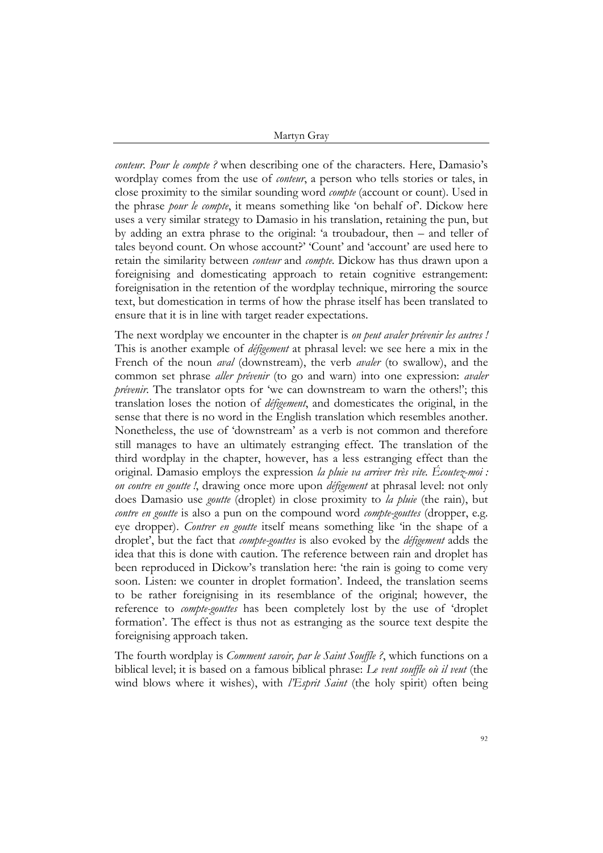*conteur. Pour le compte ?* when describing one of the characters. Here, Damasio's wordplay comes from the use of *conteur*, a person who tells stories or tales, in close proximity to the similar sounding word *compte* (account or count). Used in the phrase *pour le compte*, it means something like 'on behalf of'. Dickow here uses a very similar strategy to Damasio in his translation, retaining the pun, but by adding an extra phrase to the original: 'a troubadour, then – and teller of tales beyond count. On whose account?' 'Count' and 'account' are used here to retain the similarity between *conteur* and *compte*. Dickow has thus drawn upon a foreignising and domesticating approach to retain cognitive estrangement: foreignisation in the retention of the wordplay technique, mirroring the source text, but domestication in terms of how the phrase itself has been translated to ensure that it is in line with target reader expectations.

The next wordplay we encounter in the chapter is *on peut avaler prévenir les autres !* This is another example of *défigement* at phrasal level: we see here a mix in the French of the noun *aval* (downstream), the verb *avaler* (to swallow), and the common set phrase *aller prévenir* (to go and warn) into one expression: *avaler prévenir*. The translator opts for 'we can downstream to warn the others!'; this translation loses the notion of *défigement*, and domesticates the original, in the sense that there is no word in the English translation which resembles another. Nonetheless, the use of 'downstream' as a verb is not common and therefore still manages to have an ultimately estranging effect. The translation of the third wordplay in the chapter, however, has a less estranging effect than the original. Damasio employs the expression *la pluie va arriver très vite. Écoutez-moi : on contre en goutte !*, drawing once more upon *défigement* at phrasal level: not only does Damasio use *goutte* (droplet) in close proximity to *la pluie* (the rain), but *contre en goutte* is also a pun on the compound word *compte-gouttes* (dropper, e.g. eye dropper). *Contrer en goutte* itself means something like 'in the shape of a droplet', but the fact that *compte-gouttes* is also evoked by the *défigement* adds the idea that this is done with caution. The reference between rain and droplet has been reproduced in Dickow's translation here: 'the rain is going to come very soon. Listen: we counter in droplet formation'. Indeed, the translation seems to be rather foreignising in its resemblance of the original; however, the reference to *compte-gouttes* has been completely lost by the use of 'droplet formation'. The effect is thus not as estranging as the source text despite the foreignising approach taken.

The fourth wordplay is *Comment savoir, par le Saint Souffle ?*, which functions on a biblical level; it is based on a famous biblical phrase: *Le vent souffle où il veut* (the wind blows where it wishes), with *l'Esprit Saint* (the holy spirit) often being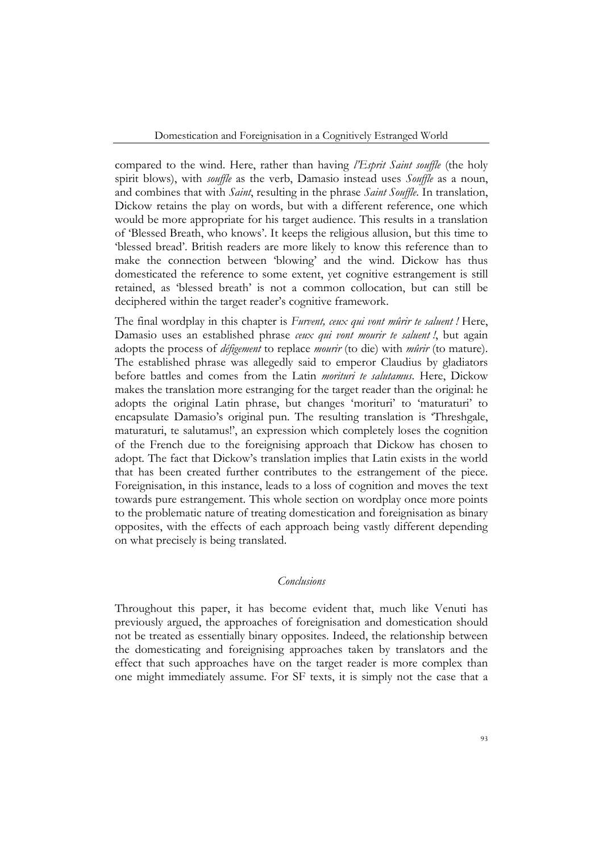compared to the wind. Here, rather than having *l'Esprit Saint souffle* (the holy spirit blows), with *souffle* as the verb, Damasio instead uses *Souffle* as a noun, and combines that with *Saint*, resulting in the phrase *Saint Souffle*. In translation, Dickow retains the play on words, but with a different reference, one which would be more appropriate for his target audience. This results in a translation of 'Blessed Breath, who knows'. It keeps the religious allusion, but this time to 'blessed bread'. British readers are more likely to know this reference than to make the connection between 'blowing' and the wind. Dickow has thus domesticated the reference to some extent, yet cognitive estrangement is still retained, as 'blessed breath' is not a common collocation, but can still be deciphered within the target reader's cognitive framework.

The final wordplay in this chapter is *Furvent, ceux qui vont mûrir te saluent !* Here, Damasio uses an established phrase *ceux qui vont mourir te saluent !*, but again adopts the process of *défigement* to replace *mourir* (to die) with *mûrir* (to mature). The established phrase was allegedly said to emperor Claudius by gladiators before battles and comes from the Latin *morituri te salutamus*. Here, Dickow makes the translation more estranging for the target reader than the original: he adopts the original Latin phrase, but changes 'morituri' to 'maturaturi' to encapsulate Damasio's original pun. The resulting translation is 'Threshgale, maturaturi, te salutamus!', an expression which completely loses the cognition of the French due to the foreignising approach that Dickow has chosen to adopt. The fact that Dickow's translation implies that Latin exists in the world that has been created further contributes to the estrangement of the piece. Foreignisation, in this instance, leads to a loss of cognition and moves the text towards pure estrangement. This whole section on wordplay once more points to the problematic nature of treating domestication and foreignisation as binary opposites, with the effects of each approach being vastly different depending on what precisely is being translated.

## *Conclusions*

Throughout this paper, it has become evident that, much like Venuti has previously argued, the approaches of foreignisation and domestication should not be treated as essentially binary opposites. Indeed, the relationship between the domesticating and foreignising approaches taken by translators and the effect that such approaches have on the target reader is more complex than one might immediately assume. For SF texts, it is simply not the case that a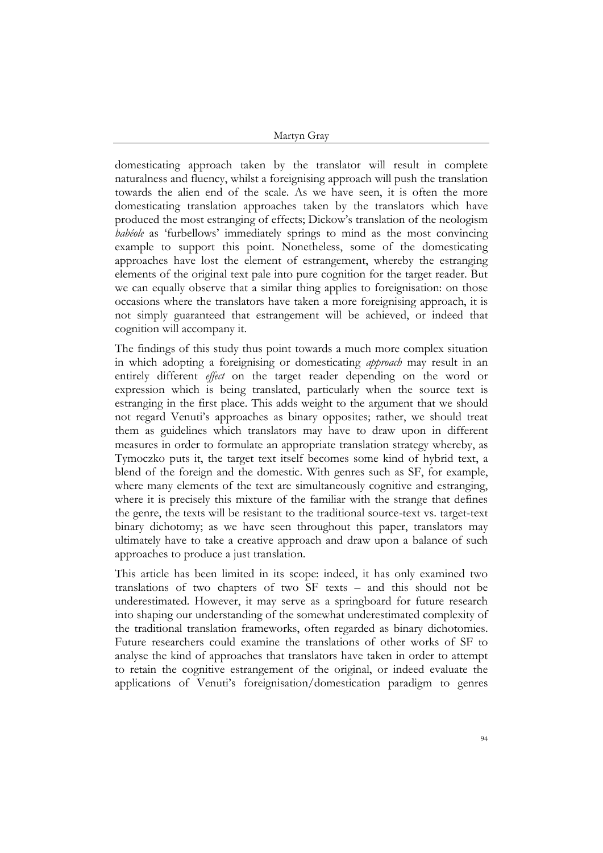domesticating approach taken by the translator will result in complete naturalness and fluency, whilst a foreignising approach will push the translation towards the alien end of the scale. As we have seen, it is often the more domesticating translation approaches taken by the translators which have produced the most estranging of effects; Dickow's translation of the neologism *babéole* as 'furbellows' immediately springs to mind as the most convincing example to support this point. Nonetheless, some of the domesticating approaches have lost the element of estrangement, whereby the estranging elements of the original text pale into pure cognition for the target reader. But we can equally observe that a similar thing applies to foreignisation: on those occasions where the translators have taken a more foreignising approach, it is not simply guaranteed that estrangement will be achieved, or indeed that cognition will accompany it.

The findings of this study thus point towards a much more complex situation in which adopting a foreignising or domesticating *approach* may result in an entirely different *effect* on the target reader depending on the word or expression which is being translated, particularly when the source text is estranging in the first place. This adds weight to the argument that we should not regard Venuti's approaches as binary opposites; rather, we should treat them as guidelines which translators may have to draw upon in different measures in order to formulate an appropriate translation strategy whereby, as Tymoczko puts it, the target text itself becomes some kind of hybrid text, a blend of the foreign and the domestic. With genres such as SF, for example, where many elements of the text are simultaneously cognitive and estranging, where it is precisely this mixture of the familiar with the strange that defines the genre, the texts will be resistant to the traditional source-text vs. target-text binary dichotomy; as we have seen throughout this paper, translators may ultimately have to take a creative approach and draw upon a balance of such approaches to produce a just translation.

This article has been limited in its scope: indeed, it has only examined two translations of two chapters of two SF texts – and this should not be underestimated. However, it may serve as a springboard for future research into shaping our understanding of the somewhat underestimated complexity of the traditional translation frameworks, often regarded as binary dichotomies. Future researchers could examine the translations of other works of SF to analyse the kind of approaches that translators have taken in order to attempt to retain the cognitive estrangement of the original, or indeed evaluate the applications of Venuti's foreignisation/domestication paradigm to genres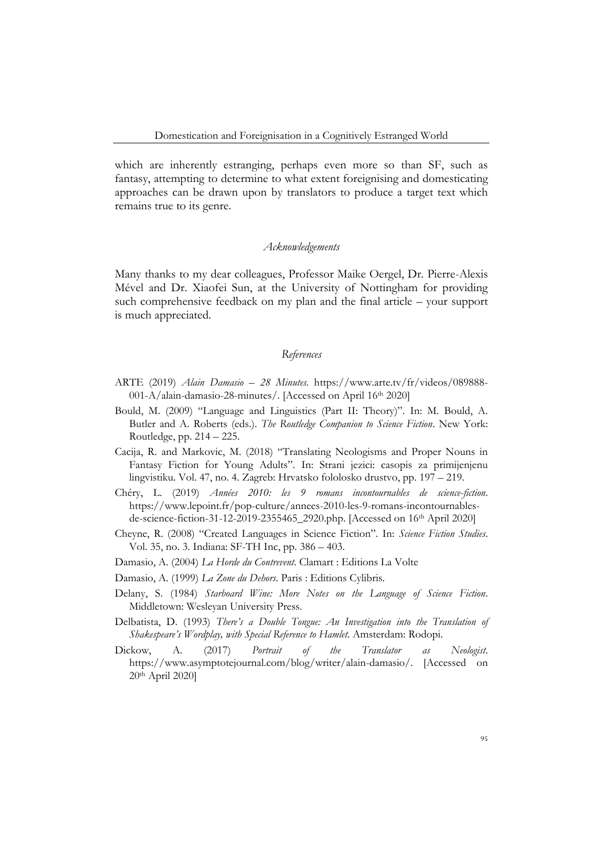which are inherently estranging, perhaps even more so than SF, such as fantasy, attempting to determine to what extent foreignising and domesticating approaches can be drawn upon by translators to produce a target text which remains true to its genre.

#### *Acknowledgements*

Many thanks to my dear colleagues, Professor Maike Oergel, Dr. Pierre-Alexis Mével and Dr. Xiaofei Sun, at the University of Nottingham for providing such comprehensive feedback on my plan and the final article – your support is much appreciated.

#### *References*

- ARTE (2019) *Alain Damasio – 28 Minutes*. https://www.arte.tv/fr/videos/089888- 001-A/alain-damasio-28-minutes/. [Accessed on April 16th 2020]
- Bould, M. (2009) "Language and Linguistics (Part II: Theory)". In: M. Bould, A. Butler and A. Roberts (eds.). *The Routledge Companion to Science Fiction*. New York: Routledge, pp. 214 – 225.
- Cacija, R. and Markovic, M. (2018) "Translating Neologisms and Proper Nouns in Fantasy Fiction for Young Adults". In: Strani jezici: casopis za primijenjenu lingvistiku. Vol. 47, no. 4. Zagreb: Hrvatsko fololosko drustvo, pp. 197 – 219.
- Chéry, L. (2019) *Années 2010: les 9 romans incontournables de science-fiction*. https://www.lepoint.fr/pop-culture/annees-2010-les-9-romans-incontournablesde-science-fiction-31-12-2019-2355465\_2920.php. [Accessed on 16th April 2020]
- Cheyne, R. (2008) "Created Languages in Science Fiction". In: *Science Fiction Studies*. Vol. 35, no. 3. Indiana: SF-TH Inc, pp. 386 – 403.
- Damasio, A. (2004) *La Horde du Contrevent*. Clamart : Editions La Volte
- Damasio, A. (1999) *La Zone du Dehors*. Paris : Editions Cylibris.
- Delany, S. (1984) *Starboard Wine: More Notes on the Language of Science Fiction*. Middletown: Wesleyan University Press.
- Delbatista, D. (1993) *There's a Double Tongue: An Investigation into the Translation of Shakespeare's Wordplay, with Special Reference to Hamlet*. Amsterdam: Rodopi.
- Dickow, A. (2017) *Portrait of the Translator as Neologist*. https://www.asymptotejournal.com/blog/writer/alain-damasio/. [Accessed on 20th April 2020]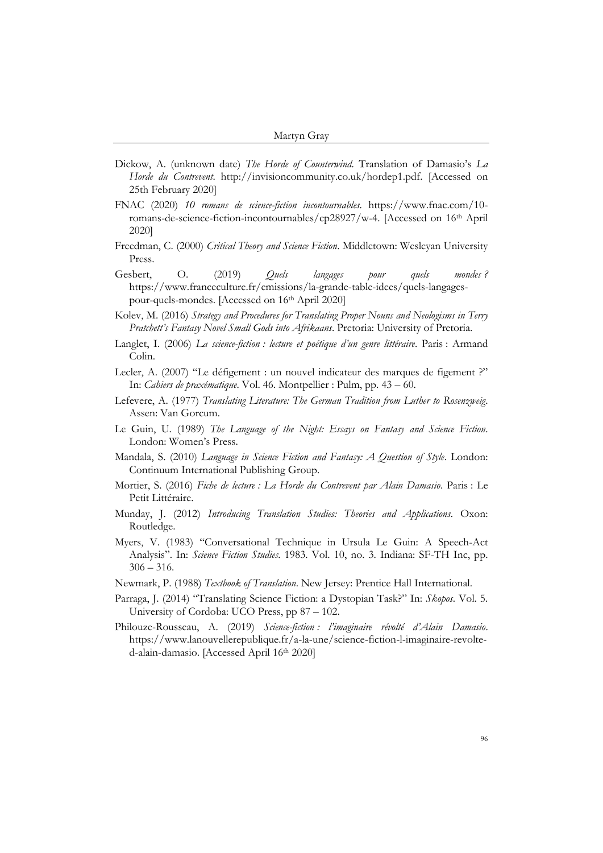- Dickow, A. (unknown date) *The Horde of Counterwind*. Translation of Damasio's *La Horde du Contrevent*. http://invisioncommunity.co.uk/hordep1.pdf. [Accessed on 25th February 2020]
- FNAC (2020) *10 romans de science-fiction incontournables*. https://www.fnac.com/10 romans-de-science-fiction-incontournables/cp28927/w-4. [Accessed on 16th April 2020]
- Freedman, C. (2000) *Critical Theory and Science Fiction*. Middletown: Wesleyan University Press.
- Gesbert, O. (2019) *Quels langages pour quels mondes ?* https://www.franceculture.fr/emissions/la-grande-table-idees/quels-langagespour-quels-mondes. [Accessed on 16th April 2020]
- Kolev, M. (2016) *Strategy and Procedures for Translating Proper Nouns and Neologisms in Terry Pratchett's Fantasy Novel Small Gods into Afrikaans*. Pretoria: University of Pretoria.
- Langlet, I. (2006) *La science-fiction : lecture et poétique d'un genre littéraire*. Paris : Armand Colin.
- Lecler, A. (2007) "Le défigement : un nouvel indicateur des marques de figement ?" In: *Cahiers de praxématique*. Vol. 46. Montpellier : Pulm, pp. 43 – 60.
- Lefevere, A. (1977) *Translating Literature: The German Tradition from Luther to Rosenzweig*. Assen: Van Gorcum.
- Le Guin, U. (1989) *The Language of the Night: Essays on Fantasy and Science Fiction*. London: Women's Press.
- Mandala, S. (2010) *Language in Science Fiction and Fantasy: A Question of Style*. London: Continuum International Publishing Group.
- Mortier, S. (2016) *Fiche de lecture : La Horde du Contrevent par Alain Damasio*. Paris : Le Petit Littéraire.
- Munday, J. (2012) *Introducing Translation Studies: Theories and Applications*. Oxon: Routledge.
- Myers, V. (1983) "Conversational Technique in Ursula Le Guin: A Speech-Act Analysis". In: *Science Fiction Studies*. 1983. Vol. 10, no. 3. Indiana: SF-TH Inc, pp.  $306 - 316$ .
- Newmark, P. (1988) *Textbook of Translation*. New Jersey: Prentice Hall International.
- Parraga, J. (2014) "Translating Science Fiction: a Dystopian Task?" In: *Skopos*. Vol. 5. University of Cordoba: UCO Press, pp 87 – 102.
- Philouze-Rousseau, A. (2019) *Science-fiction : l'imaginaire révolté d'Alain Damasio*. https://www.lanouvellerepublique.fr/a-la-une/science-fiction-l-imaginaire-revolted-alain-damasio. [Accessed April 16th 2020]